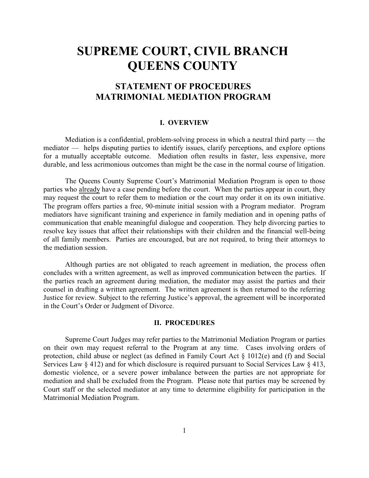# **SUPREME COURT, CIVIL BRANCH QUEENS COUNTY**

# **STATEMENT OF PROCEDURES MATRIMONIAL MEDIATION PROGRAM**

#### **I. OVERVIEW**

Mediation is a confidential, problem-solving process in which a neutral third party — the mediator — helps disputing parties to identify issues, clarify perceptions, and explore options for a mutually acceptable outcome. Mediation often results in faster, less expensive, more durable, and less acrimonious outcomes than might be the case in the normal course of litigation.

The Queens County Supreme Court's Matrimonial Mediation Program is open to those parties who already have a case pending before the court. When the parties appear in court, they may request the court to refer them to mediation or the court may order it on its own initiative. The program offers parties a free, 90-minute initial session with a Program mediator. Program mediators have significant training and experience in family mediation and in opening paths of communication that enable meaningful dialogue and cooperation. They help divorcing parties to resolve key issues that affect their relationships with their children and the financial well-being of all family members. Parties are encouraged, but are not required, to bring their attorneys to the mediation session.

Although parties are not obligated to reach agreement in mediation, the process often concludes with a written agreement, as well as improved communication between the parties. If the parties reach an agreement during mediation, the mediator may assist the parties and their counsel in drafting a written agreement. The written agreement is then returned to the referring Justice for review. Subject to the referring Justice's approval, the agreement will be incorporated in the Court's Order or Judgment of Divorce.

#### **II. PROCEDURES**

Supreme Court Judges may refer parties to the Matrimonial Mediation Program or parties on their own may request referral to the Program at any time. Cases involving orders of protection, child abuse or neglect (as defined in Family Court Act § 1012(e) and (f) and Social Services Law § 412) and for which disclosure is required pursuant to Social Services Law § 413, domestic violence, or a severe power imbalance between the parties are not appropriate for mediation and shall be excluded from the Program. Please note that parties may be screened by Court staff or the selected mediator at any time to determine eligibility for participation in the Matrimonial Mediation Program.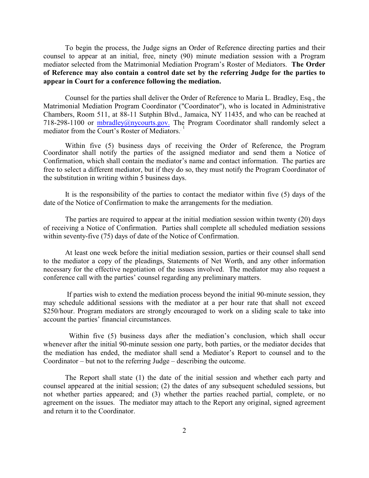To begin the process, the Judge signs an Order of Reference directing parties and their counsel to appear at an initial, free, ninety (90) minute mediation session with a Program mediator selected from the Matrimonial Mediation Program's Roster of Mediators. **The Order of Reference may also contain a control date set by the referring Judge for the parties to appear in Court for a conference following the mediation.** 

Counsel for the parties shall deliver the Order of Reference to Maria L. Bradley, Esq., the Matrimonial Mediation Program Coordinator ("Coordinator"), who is located in Administrative Chambers, Room 511, at 88-11 Sutphin Blvd., Jamaica, NY 11435, and who can be reached at 718-298-1100 or [mbradley@nycourts.gov.](mailto:mbradley@nycourts.gov.) The Program Coordinator shall randomly select a mediator from the Court's Roster of Mediators.. 1

Within five (5) business days of receiving the Order of Reference, the Program Coordinator shall notify the parties of the assigned mediator and send them a Notice of Confirmation, which shall contain the mediator's name and contact information. The parties are free to select a different mediator, but if they do so, they must notify the Program Coordinator of the substitution in writing within 5 business days.

It is the responsibility of the parties to contact the mediator within five (5) days of the date of the Notice of Confirmation to make the arrangements for the mediation.

The parties are required to appear at the initial mediation session within twenty (20) days of receiving a Notice of Confirmation. Parties shall complete all scheduled mediation sessions within seventy-five (75) days of date of the Notice of Confirmation.

At least one week before the initial mediation session, parties or their counsel shall send to the mediator a copy of the pleadings, Statements of Net Worth, and any other information necessary for the effective negotiation of the issues involved. The mediator may also request a conference call with the parties' counsel regarding any preliminary matters.

If parties wish to extend the mediation process beyond the initial 90-minute session, they may schedule additional sessions with the mediator at a per hour rate that shall not exceed \$250/hour. Program mediators are strongly encouraged to work on a sliding scale to take into account the parties' financial circumstances.

Within five (5) business days after the mediation's conclusion, which shall occur whenever after the initial 90-minute session one party, both parties, or the mediator decides that the mediation has ended, the mediator shall send a Mediator's Report to counsel and to the Coordinator – but not to the referring Judge – describing the outcome.

The Report shall state (1) the date of the initial session and whether each party and counsel appeared at the initial session; (2) the dates of any subsequent scheduled sessions, but not whether parties appeared; and (3) whether the parties reached partial, complete, or no agreement on the issues. The mediator may attach to the Report any original, signed agreement and return it to the Coordinator.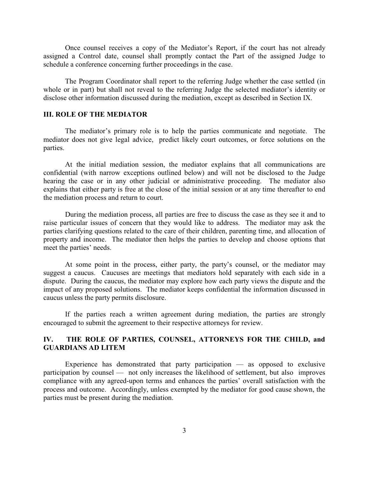Once counsel receives a copy of the Mediator's Report, if the court has not already assigned a Control date, counsel shall promptly contact the Part of the assigned Judge to schedule a conference concerning further proceedings in the case.

The Program Coordinator shall report to the referring Judge whether the case settled (in whole or in part) but shall not reveal to the referring Judge the selected mediator's identity or disclose other information discussed during the mediation, except as described in Section IX.

# **III. ROLE OF THE MEDIATOR**

The mediator's primary role is to help the parties communicate and negotiate. The mediator does not give legal advice, predict likely court outcomes, or force solutions on the parties.

At the initial mediation session, the mediator explains that all communications are confidential (with narrow exceptions outlined below) and will not be disclosed to the Judge hearing the case or in any other judicial or administrative proceeding. The mediator also explains that either party is free at the close of the initial session or at any time thereafter to end the mediation process and return to court.

During the mediation process, all parties are free to discuss the case as they see it and to raise particular issues of concern that they would like to address. The mediator may ask the parties clarifying questions related to the care of their children, parenting time, and allocation of property and income. The mediator then helps the parties to develop and choose options that meet the parties' needs.

At some point in the process, either party, the party's counsel, or the mediator may suggest a caucus. Caucuses are meetings that mediators hold separately with each side in a dispute. During the caucus, the mediator may explore how each party views the dispute and the impact of any proposed solutions. The mediator keeps confidential the information discussed in caucus unless the party permits disclosure.

If the parties reach a written agreement during mediation, the parties are strongly encouraged to submit the agreement to their respective attorneys for review.

# **IV. THE ROLE OF PARTIES, COUNSEL, ATTORNEYS FOR THE CHILD, and GUARDIANS AD LITEM**

Experience has demonstrated that party participation — as opposed to exclusive participation by counsel — not only increases the likelihood of settlement, but also improves compliance with any agreed-upon terms and enhances the parties' overall satisfaction with the process and outcome. Accordingly, unless exempted by the mediator for good cause shown, the parties must be present during the mediation.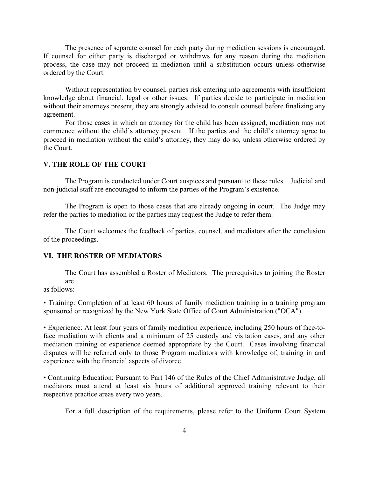The presence of separate counsel for each party during mediation sessions is encouraged. If counsel for either party is discharged or withdraws for any reason during the mediation process, the case may not proceed in mediation until a substitution occurs unless otherwise ordered by the Court.

Without representation by counsel, parties risk entering into agreements with insufficient knowledge about financial, legal or other issues. If parties decide to participate in mediation without their attorneys present, they are strongly advised to consult counsel before finalizing any agreement.

For those cases in which an attorney for the child has been assigned, mediation may not commence without the child's attorney present. If the parties and the child's attorney agree to proceed in mediation without the child's attorney, they may do so, unless otherwise ordered by the Court.

# **V. THE ROLE OF THE COURT**

The Program is conducted under Court auspices and pursuant to these rules. Judicial and non-judicial staff are encouraged to inform the parties of the Program's existence.

The Program is open to those cases that are already ongoing in court. The Judge may refer the parties to mediation or the parties may request the Judge to refer them.

The Court welcomes the feedback of parties, counsel, and mediators after the conclusion of the proceedings.

# **VI. THE ROSTER OF MEDIATORS**

The Court has assembled a Roster of Mediators. The prerequisites to joining the Roster are

as follows:

• Training: Completion of at least 60 hours of family mediation training in a training program sponsored or recognized by the New York State Office of Court Administration ("OCA").

• Experience: At least four years of family mediation experience, including 250 hours of face-toface mediation with clients and a minimum of 25 custody and visitation cases, and any other mediation training or experience deemed appropriate by the Court. Cases involving financial disputes will be referred only to those Program mediators with knowledge of, training in and experience with the financial aspects of divorce.

• Continuing Education: Pursuant to Part 146 of the Rules of the Chief Administrative Judge, all mediators must attend at least six hours of additional approved training relevant to their respective practice areas every two years.

For a full description of the requirements, please refer to the Uniform Court System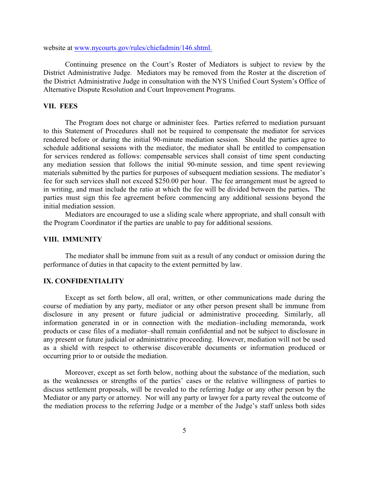website at www.nycourts.gov/rules/chiefadmin/146.shtml.

Continuing presence on the Court's Roster of Mediators is subject to review by the District Administrative Judge. Mediators may be removed from the Roster at the discretion of the District Administrative Judge in consultation with the NYS Unified Court System's Office of Alternative Dispute Resolution and Court Improvement Programs.

# **VII. FEES**

The Program does not charge or administer fees. Parties referred to mediation pursuant to this Statement of Procedures shall not be required to compensate the mediator for services rendered before or during the initial 90-minute mediation session. Should the parties agree to schedule additional sessions with the mediator, the mediator shall be entitled to compensation for services rendered as follows: compensable services shall consist of time spent conducting any mediation session that follows the initial 90-minute session, and time spent reviewing materials submitted by the parties for purposes of subsequent mediation sessions. The mediator's fee for such services shall not exceed \$250.00 per hour. The fee arrangement must be agreed to in writing, and must include the ratio at which the fee will be divided between the parties**.** The parties must sign this fee agreement before commencing any additional sessions beyond the initial mediation session.

Mediators are encouraged to use a sliding scale where appropriate, and shall consult with the Program Coordinator if the parties are unable to pay for additional sessions.

# **VIII. IMMUNITY**

The mediator shall be immune from suit as a result of any conduct or omission during the performance of duties in that capacity to the extent permitted by law.

# **IX. CONFIDENTIALITY**

Except as set forth below, all oral, written, or other communications made during the course of mediation by any party, mediator or any other person present shall be immune from disclosure in any present or future judicial or administrative proceeding. Similarly, all information generated in or in connection with the mediation–including memoranda, work products or case files of a mediator–shall remain confidential and not be subject to disclosure in any present or future judicial or administrative proceeding. However, mediation will not be used as a shield with respect to otherwise discoverable documents or information produced or occurring prior to or outside the mediation.

Moreover, except as set forth below, nothing about the substance of the mediation, such as the weaknesses or strengths of the parties' cases or the relative willingness of parties to discuss settlement proposals, will be revealed to the referring Judge or any other person by the Mediator or any party or attorney. Nor will any party or lawyer for a party reveal the outcome of the mediation process to the referring Judge or a member of the Judge's staff unless both sides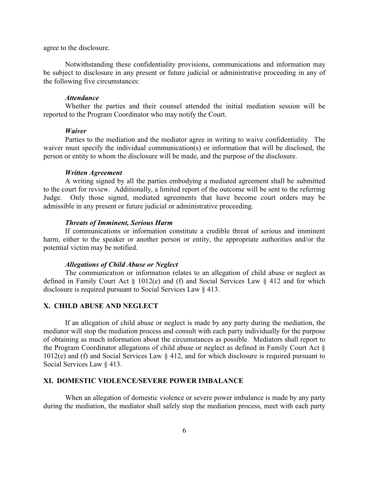agree to the disclosure.

Notwithstanding these confidentiality provisions, communications and information may be subject to disclosure in any present or future judicial or administrative proceeding in any of the following five circumstances:

#### *Attendance*

Whether the parties and their counsel attended the initial mediation session will be reported to the Program Coordinator who may notify the Court.

#### *Waiver*

Parties to the mediation and the mediator agree in writing to waive confidentiality. The waiver must specify the individual communication(s) or information that will be disclosed, the person or entity to whom the disclosure will be made, and the purpose of the disclosure.

#### *Written Agreement*

A writing signed by all the parties embodying a mediated agreement shall be submitted to the court for review. Additionally, a limited report of the outcome will be sent to the referring Judge. Only those signed, mediated agreements that have become court orders may be admissible in any present or future judicial or administrative proceeding.

### *Threats of Imminent, Serious Harm*

If communications or information constitute a credible threat of serious and imminent harm, either to the speaker or another person or entity, the appropriate authorities and/or the potential victim may be notified.

#### *Allegations of Child Abuse or Neglect*

The communication or information relates to an allegation of child abuse or neglect as defined in Family Court Act § 1012(e) and (f) and Social Services Law § 412 and for which disclosure is required pursuant to Social Services Law § 413.

# **X. CHILD ABUSE AND NEGLECT**

If an allegation of child abuse or neglect is made by any party during the mediation, the mediator will stop the mediation process and consult with each party individually for the purpose of obtaining as much information about the circumstances as possible. Mediators shall report to the Program Coordinator allegations of child abuse or neglect as defined in Family Court Act § 1012(e) and (f) and Social Services Law § 412, and for which disclosure is required pursuant to Social Services Law § 413.

#### **XI. DOMESTIC VIOLENCE/SEVERE POWER IMBALANCE**

When an allegation of domestic violence or severe power imbalance is made by any party during the mediation, the mediator shall safely stop the mediation process, meet with each party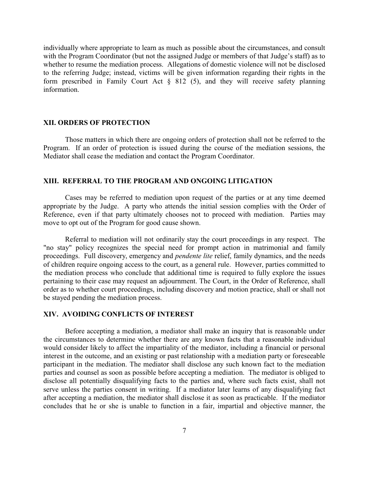individually where appropriate to learn as much as possible about the circumstances, and consult with the Program Coordinator (but not the assigned Judge or members of that Judge's staff) as to whether to resume the mediation process. Allegations of domestic violence will not be disclosed to the referring Judge; instead, victims will be given information regarding their rights in the form prescribed in Family Court Act § 812 (5), and they will receive safety planning information.

# **XII. ORDERS OF PROTECTION**

Those matters in which there are ongoing orders of protection shall not be referred to the Program. If an order of protection is issued during the course of the mediation sessions, the Mediator shall cease the mediation and contact the Program Coordinator.

# **XIII. REFERRAL TO THE PROGRAM AND ONGOING LITIGATION**

Cases may be referred to mediation upon request of the parties or at any time deemed appropriate by the Judge. A party who attends the initial session complies with the Order of Reference, even if that party ultimately chooses not to proceed with mediation. Parties may move to opt out of the Program for good cause shown.

Referral to mediation will not ordinarily stay the court proceedings in any respect. The "no stay" policy recognizes the special need for prompt action in matrimonial and family proceedings. Full discovery, emergency and *pendente lite* relief, family dynamics, and the needs of children require ongoing access to the court, as a general rule. However, parties committed to the mediation process who conclude that additional time is required to fully explore the issues pertaining to their case may request an adjournment. The Court, in the Order of Reference, shall order as to whether court proceedings, including discovery and motion practice, shall or shall not be stayed pending the mediation process.

#### **XIV. AVOIDING CONFLICTS OF INTEREST**

Before accepting a mediation, a mediator shall make an inquiry that is reasonable under the circumstances to determine whether there are any known facts that a reasonable individual would consider likely to affect the impartiality of the mediator, including a financial or personal interest in the outcome, and an existing or past relationship with a mediation party or foreseeable participant in the mediation. The mediator shall disclose any such known fact to the mediation parties and counsel as soon as possible before accepting a mediation. The mediator is obliged to disclose all potentially disqualifying facts to the parties and, where such facts exist, shall not serve unless the parties consent in writing. If a mediator later learns of any disqualifying fact after accepting a mediation, the mediator shall disclose it as soon as practicable. If the mediator concludes that he or she is unable to function in a fair, impartial and objective manner, the